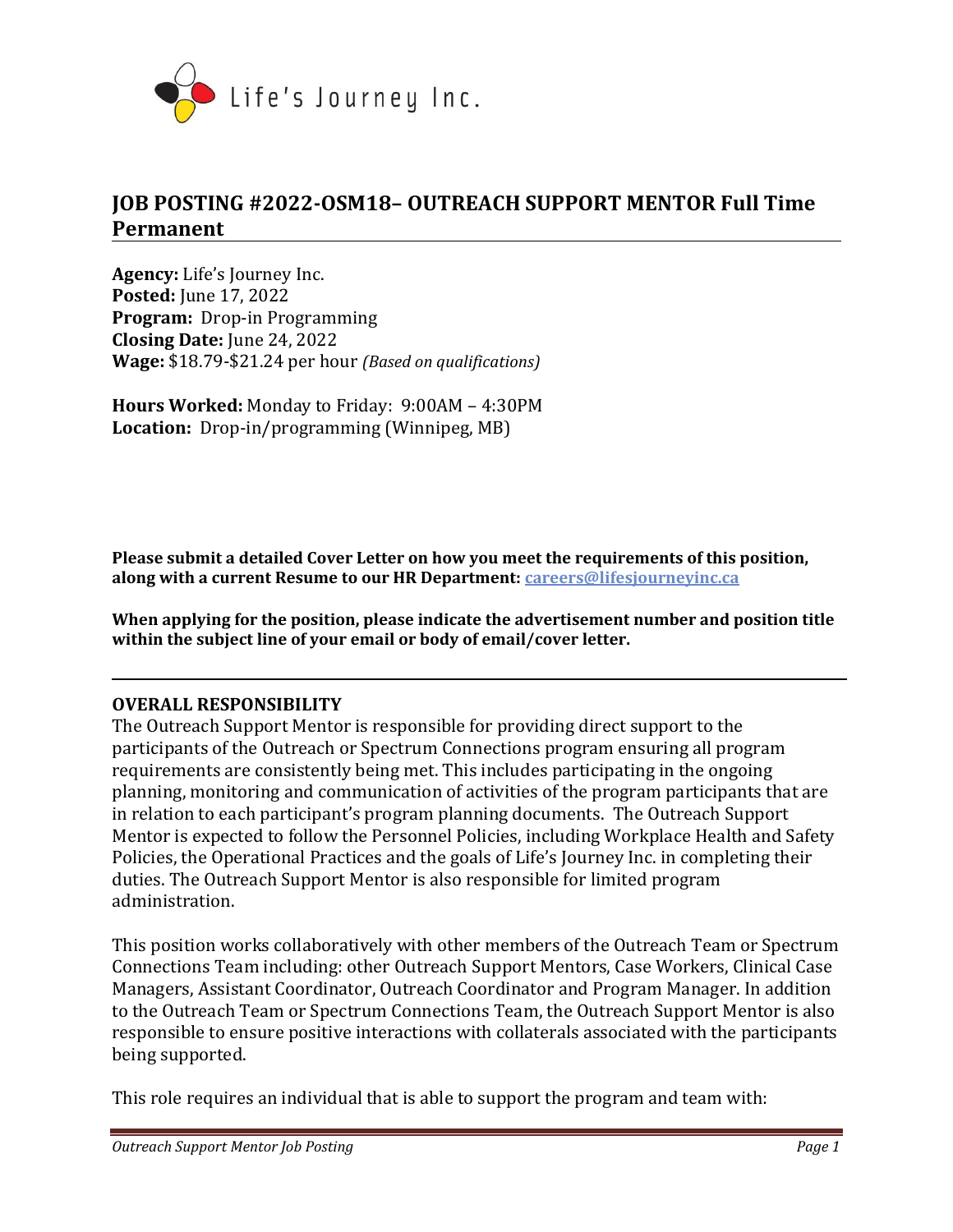

# **JOB POSTING #2022-OSM18– OUTREACH SUPPORT MENTOR Full Time Permanent**

**Agency:** Life's Journey Inc. **Posted:** June 17, 2022 **Program:** Drop-in Programming **Closing Date:** June 24, 2022 **Wage:** \$18.79-\$21.24 per hour *(Based on qualifications)*

**Hours Worked:** Monday to Friday:9:00AM – 4:30PM **Location:** Drop-in/programming (Winnipeg, MB)

**Please submit a detailed Cover Letter on how you meet the requirements of this position, along with a current Resume to our HR Department: [careers@lifesjourneyinc.ca](mailto:careers@lifesjourneyinc.ca)**

**When applying for the position, please indicate the advertisement number and position title within the subject line of your email or body of email/cover letter.**

#### **OVERALL RESPONSIBILITY**

The Outreach Support Mentor is responsible for providing direct support to the participants of the Outreach or Spectrum Connections program ensuring all program requirements are consistently being met. This includes participating in the ongoing planning, monitoring and communication of activities of the program participants that are in relation to each participant's program planning documents. The Outreach Support Mentor is expected to follow the Personnel Policies, including Workplace Health and Safety Policies, the Operational Practices and the goals of Life's Journey Inc. in completing their duties. The Outreach Support Mentor is also responsible for limited program administration.

This position works collaboratively with other members of the Outreach Team or Spectrum Connections Team including: other Outreach Support Mentors, Case Workers, Clinical Case Managers, Assistant Coordinator, Outreach Coordinator and Program Manager. In addition to the Outreach Team or Spectrum Connections Team, the Outreach Support Mentor is also responsible to ensure positive interactions with collaterals associated with the participants being supported.

This role requires an individual that is able to support the program and team with: